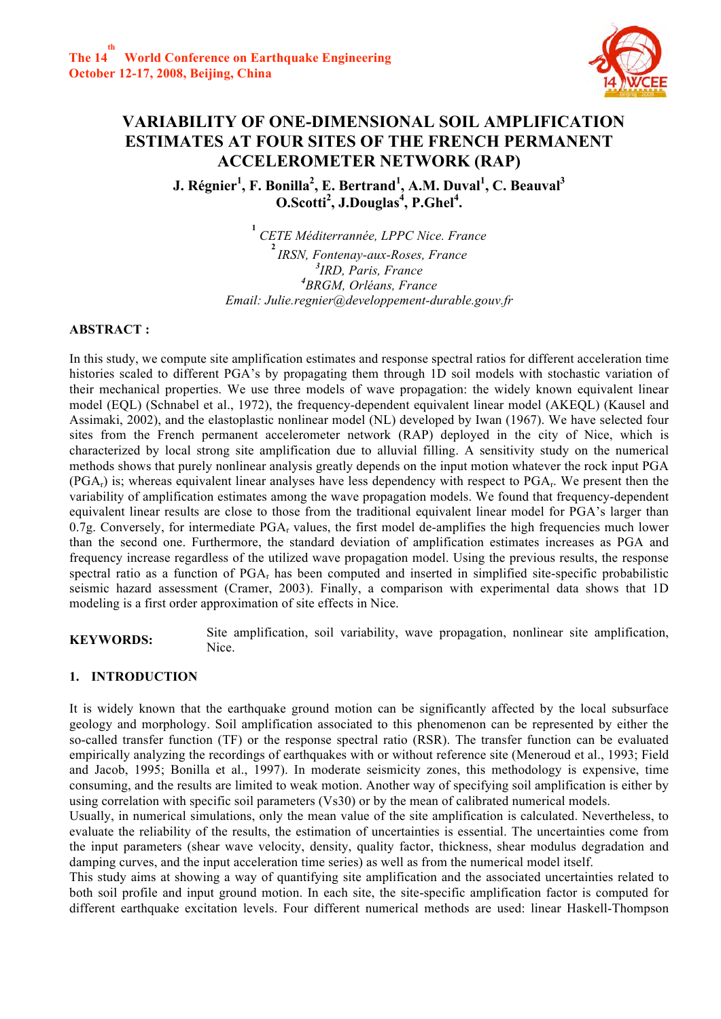

# **VARIABILITY OF ONE-DIMENSIONAL SOIL AMPLIFICATION ESTIMATES AT FOUR SITES OF THE FRENCH PERMANENT ACCELEROMETER NETWORK (RAP)**

 $\bf J.$  Régnier<sup>1</sup>, F. Bonilla<sup>2</sup>, E. Bertrand<sup>1</sup>, A.M. Duval<sup>1</sup>, C. Beauval<sup>3</sup> **O.Scotti2 , J.Douglas<sup>4</sup> , P.Ghel4 .**

> *CETE Méditerrannée, LPPC Nice. France IRSN, Fontenay-aux-Roses, France IRD, Paris, France BRGM, Orléans, France Email: Julie.regnier@developpement-durable.gouv.fr*

# **ABSTRACT :**

In this study, we compute site amplification estimates and response spectral ratios for different acceleration time histories scaled to different PGA's by propagating them through 1D soil models with stochastic variation of their mechanical properties. We use three models of wave propagation: the widely known equivalent linear model (EQL) (Schnabel et al., 1972), the frequency-dependent equivalent linear model (AKEQL) (Kausel and Assimaki, 2002), and the elastoplastic nonlinear model (NL) developed by Iwan (1967). We have selected four sites from the French permanent accelerometer network (RAP) deployed in the city of Nice, which is characterized by local strong site amplification due to alluvial filling. A sensitivity study on the numerical methods shows that purely nonlinear analysis greatly depends on the input motion whatever the rock input PGA  $(PGA_r)$  is; whereas equivalent linear analyses have less dependency with respect to  $PGA_r$ . We present then the variability of amplification estimates among the wave propagation models. We found that frequency-dependent equivalent linear results are close to those from the traditional equivalent linear model for PGA's larger than 0.7g. Conversely, for intermediate  $PGA_r$  values, the first model de-amplifies the high frequencies much lower than the second one. Furthermore, the standard deviation of amplification estimates increases as PGA and frequency increase regardless of the utilized wave propagation model. Using the previous results, the response spectral ratio as a function of PGAr has been computed and inserted in simplified site-specific probabilistic seismic hazard assessment (Cramer, 2003). Finally, a comparison with experimental data shows that 1D modeling is a first order approximation of site effects in Nice.

**KEYWORDS:** Site amplification, soil variability, wave propagation, nonlinear site amplification, Nice.

# **1. INTRODUCTION**

It is widely known that the earthquake ground motion can be significantly affected by the local subsurface geology and morphology. Soil amplification associated to this phenomenon can be represented by either the so-called transfer function (TF) or the response spectral ratio (RSR). The transfer function can be evaluated empirically analyzing the recordings of earthquakes with or without reference site (Meneroud et al., 1993; Field and Jacob, 1995; Bonilla et al., 1997). In moderate seismicity zones, this methodology is expensive, time consuming, and the results are limited to weak motion. Another way of specifying soil amplification is either by using correlation with specific soil parameters (Vs30) or by the mean of calibrated numerical models.

Usually, in numerical simulations, only the mean value of the site amplification is calculated. Nevertheless, to evaluate the reliability of the results, the estimation of uncertainties is essential. The uncertainties come from the input parameters (shear wave velocity, density, quality factor, thickness, shear modulus degradation and damping curves, and the input acceleration time series) as well as from the numerical model itself.

This study aims at showing a way of quantifying site amplification and the associated uncertainties related to both soil profile and input ground motion. In each site, the site-specific amplification factor is computed for different earthquake excitation levels. Four different numerical methods are used: linear Haskell-Thompson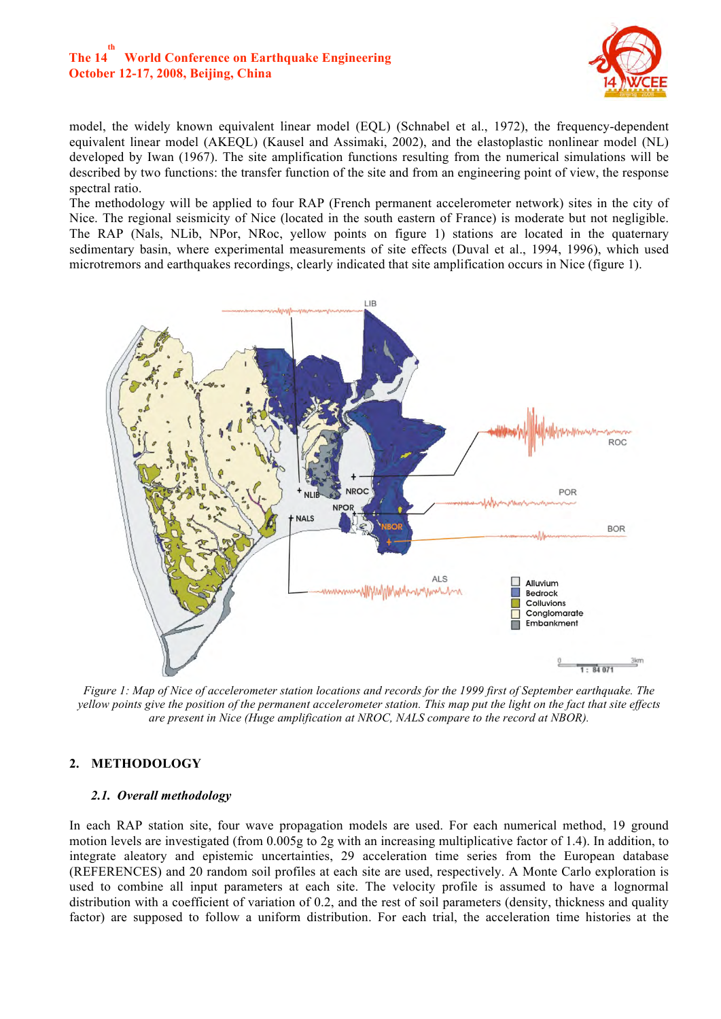# **The 14 th World Conference on Earthquake Engineering October 12-17, 2008, Beijing, China**



model, the widely known equivalent linear model (EQL) (Schnabel et al., 1972), the frequency-dependent equivalent linear model (AKEQL) (Kausel and Assimaki, 2002), and the elastoplastic nonlinear model (NL) developed by Iwan (1967). The site amplification functions resulting from the numerical simulations will be described by two functions: the transfer function of the site and from an engineering point of view, the response spectral ratio.

The methodology will be applied to four RAP (French permanent accelerometer network) sites in the city of Nice. The regional seismicity of Nice (located in the south eastern of France) is moderate but not negligible. The RAP (Nals, NLib, NPor, NRoc, yellow points on figure 1) stations are located in the quaternary sedimentary basin, where experimental measurements of site effects (Duval et al., 1994, 1996), which used microtremors and earthquakes recordings, clearly indicated that site amplification occurs in Nice (figure 1).



*Figure 1: Map of Nice of accelerometer station locations and records for the 1999 first of September earthquake. The yellow points give the position of the permanent accelerometer station. This map put the light on the fact that site effects are present in Nice (Huge amplification at NROC, NALS compare to the record at NBOR).*

# **2. METHODOLOGY**

## *2.1. Overall methodology*

In each RAP station site, four wave propagation models are used. For each numerical method, 19 ground motion levels are investigated (from 0.005g to 2g with an increasing multiplicative factor of 1.4). In addition, to integrate aleatory and epistemic uncertainties, 29 acceleration time series from the European database (REFERENCES) and 20 random soil profiles at each site are used, respectively. A Monte Carlo exploration is used to combine all input parameters at each site. The velocity profile is assumed to have a lognormal distribution with a coefficient of variation of 0.2, and the rest of soil parameters (density, thickness and quality factor) are supposed to follow a uniform distribution. For each trial, the acceleration time histories at the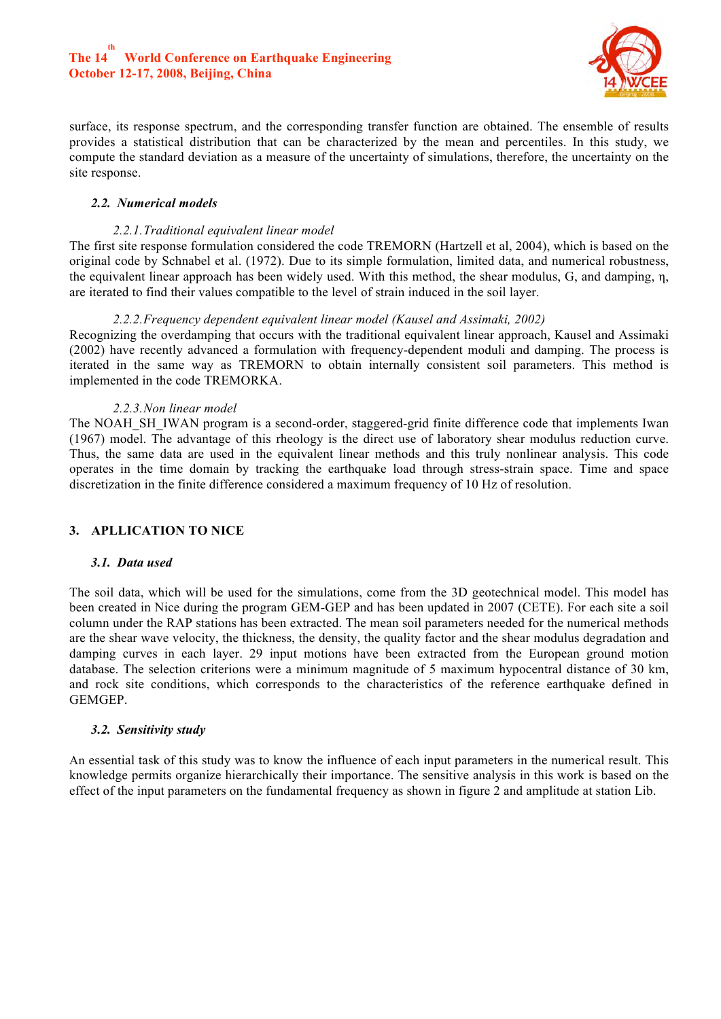# **The 14 th World Conference on Earthquake Engineering October 12-17, 2008, Beijing, China**



surface, its response spectrum, and the corresponding transfer function are obtained. The ensemble of results provides a statistical distribution that can be characterized by the mean and percentiles. In this study, we compute the standard deviation as a measure of the uncertainty of simulations, therefore, the uncertainty on the site response.

## *2.2. Numerical models*

## *2.2.1.Traditional equivalent linear model*

The first site response formulation considered the code TREMORN (Hartzell et al, 2004), which is based on the original code by Schnabel et al. (1972). Due to its simple formulation, limited data, and numerical robustness, the equivalent linear approach has been widely used. With this method, the shear modulus, G, and damping, η, are iterated to find their values compatible to the level of strain induced in the soil layer.

## *2.2.2.Frequency dependent equivalent linear model (Kausel and Assimaki, 2002)*

Recognizing the overdamping that occurs with the traditional equivalent linear approach, Kausel and Assimaki (2002) have recently advanced a formulation with frequency-dependent moduli and damping. The process is iterated in the same way as TREMORN to obtain internally consistent soil parameters. This method is implemented in the code TREMORKA.

## *2.2.3.Non linear model*

The NOAH\_SH\_IWAN program is a second-order, staggered-grid finite difference code that implements Iwan (1967) model. The advantage of this rheology is the direct use of laboratory shear modulus reduction curve. Thus, the same data are used in the equivalent linear methods and this truly nonlinear analysis. This code operates in the time domain by tracking the earthquake load through stress-strain space. Time and space discretization in the finite difference considered a maximum frequency of 10 Hz of resolution.

# **3. APLLICATION TO NICE**

## *3.1. Data used*

The soil data, which will be used for the simulations, come from the 3D geotechnical model. This model has been created in Nice during the program GEM-GEP and has been updated in 2007 (CETE). For each site a soil column under the RAP stations has been extracted. The mean soil parameters needed for the numerical methods are the shear wave velocity, the thickness, the density, the quality factor and the shear modulus degradation and damping curves in each layer. 29 input motions have been extracted from the European ground motion database. The selection criterions were a minimum magnitude of 5 maximum hypocentral distance of 30 km, and rock site conditions, which corresponds to the characteristics of the reference earthquake defined in GEMGEP.

## *3.2. Sensitivity study*

An essential task of this study was to know the influence of each input parameters in the numerical result. This knowledge permits organize hierarchically their importance. The sensitive analysis in this work is based on the effect of the input parameters on the fundamental frequency as shown in figure 2 and amplitude at station Lib.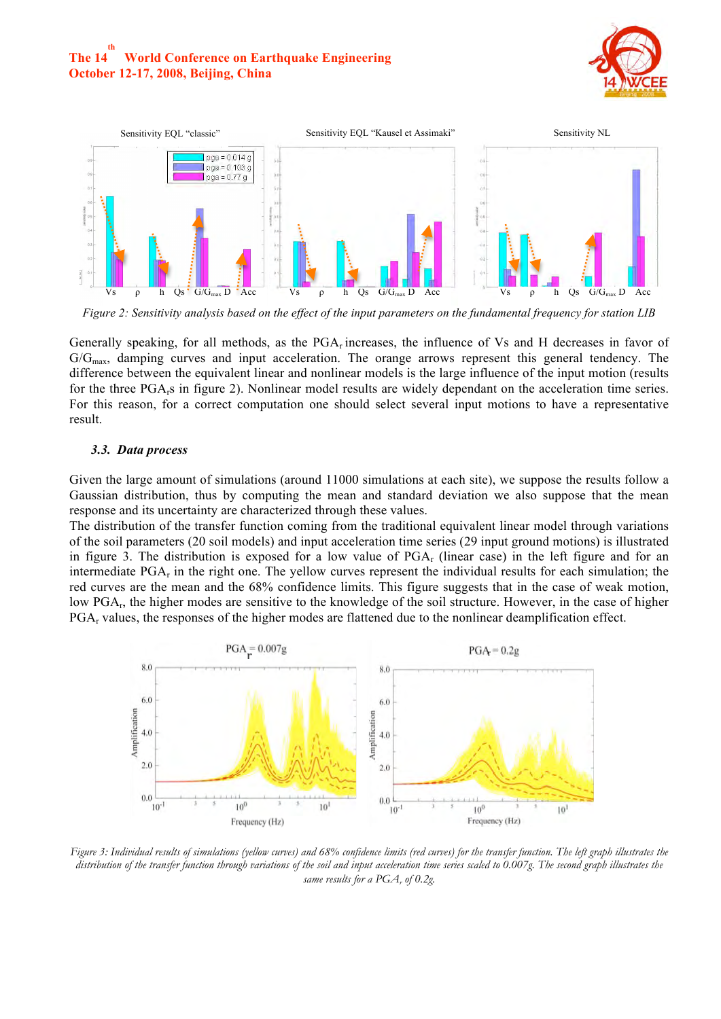



*Figure 2: Sensitivity analysis based on the effect of the input parameters on the fundamental frequency for station LIB*

Generally speaking, for all methods, as the  $PGA<sub>r</sub>$  increases, the influence of Vs and H decreases in favor of  $G/G_{\text{max}}$ , damping curves and input acceleration. The orange arrows represent this general tendency. The difference between the equivalent linear and nonlinear models is the large influence of the input motion (results for the three PGArs in figure 2). Nonlinear model results are widely dependant on the acceleration time series. For this reason, for a correct computation one should select several input motions to have a representative result.

#### *3.3. Data process*

Given the large amount of simulations (around 11000 simulations at each site), we suppose the results follow a Gaussian distribution, thus by computing the mean and standard deviation we also suppose that the mean response and its uncertainty are characterized through these values.

The distribution of the transfer function coming from the traditional equivalent linear model through variations of the soil parameters (20 soil models) and input acceleration time series (29 input ground motions) is illustrated in figure 3. The distribution is exposed for a low value of  $PGA_r$  (linear case) in the left figure and for an intermediate PGAr in the right one. The yellow curves represent the individual results for each simulation; the red curves are the mean and the 68% confidence limits. This figure suggests that in the case of weak motion, low PGAr, the higher modes are sensitive to the knowledge of the soil structure. However, in the case of higher PGAr values, the responses of the higher modes are flattened due to the nonlinear deamplification effect.



*Figure 3: Individual results of simulations (yellow curves) and 68% confidence limits (red curves) for the transfer function. The left graph illustrates the distribution of the transfer function through variations of the soil and input acceleration time series scaled to 0.007g. The second graph illustrates the same results for a PGA<sub>r</sub> of 0.2g*.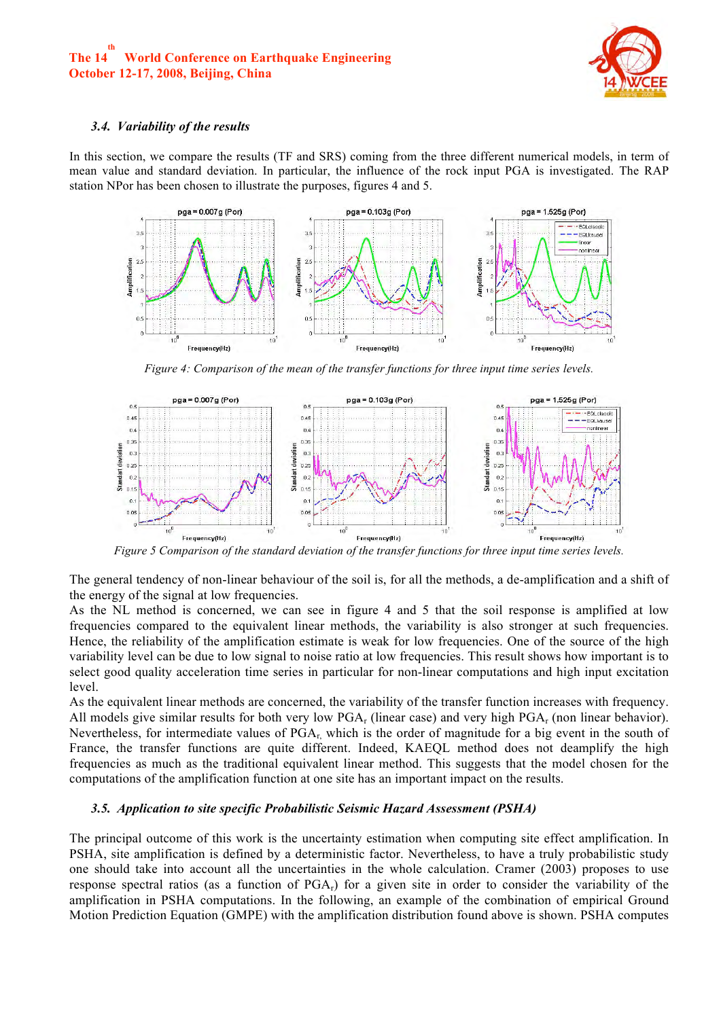

#### *3.4. Variability of the results*

In this section, we compare the results (TF and SRS) coming from the three different numerical models, in term of mean value and standard deviation. In particular, the influence of the rock input PGA is investigated. The RAP station NPor has been chosen to illustrate the purposes, figures 4 and 5.



*Figure 4: Comparison of the mean of the transfer functions for three input time series levels.* 



*Figure 5 Comparison of the standard deviation of the transfer functions for three input time series levels.* 

The general tendency of non-linear behaviour of the soil is, for all the methods, a de-amplification and a shift of the energy of the signal at low frequencies.

As the NL method is concerned, we can see in figure 4 and 5 that the soil response is amplified at low frequencies compared to the equivalent linear methods, the variability is also stronger at such frequencies. Hence, the reliability of the amplification estimate is weak for low frequencies. One of the source of the high variability level can be due to low signal to noise ratio at low frequencies. This result shows how important is to select good quality acceleration time series in particular for non-linear computations and high input excitation level.

As the equivalent linear methods are concerned, the variability of the transfer function increases with frequency. All models give similar results for both very low  $PGA_r$  (linear case) and very high  $PGA_r$  (non linear behavior). Nevertheless, for intermediate values of  $PGA_r$ , which is the order of magnitude for a big event in the south of France, the transfer functions are quite different. Indeed, KAEQL method does not deamplify the high frequencies as much as the traditional equivalent linear method. This suggests that the model chosen for the computations of the amplification function at one site has an important impact on the results.

## *3.5. Application to site specific Probabilistic Seismic Hazard Assessment (PSHA)*

The principal outcome of this work is the uncertainty estimation when computing site effect amplification. In PSHA, site amplification is defined by a deterministic factor. Nevertheless, to have a truly probabilistic study one should take into account all the uncertainties in the whole calculation. Cramer (2003) proposes to use response spectral ratios (as a function of  $PGA_r$ ) for a given site in order to consider the variability of the amplification in PSHA computations. In the following, an example of the combination of empirical Ground Motion Prediction Equation (GMPE) with the amplification distribution found above is shown. PSHA computes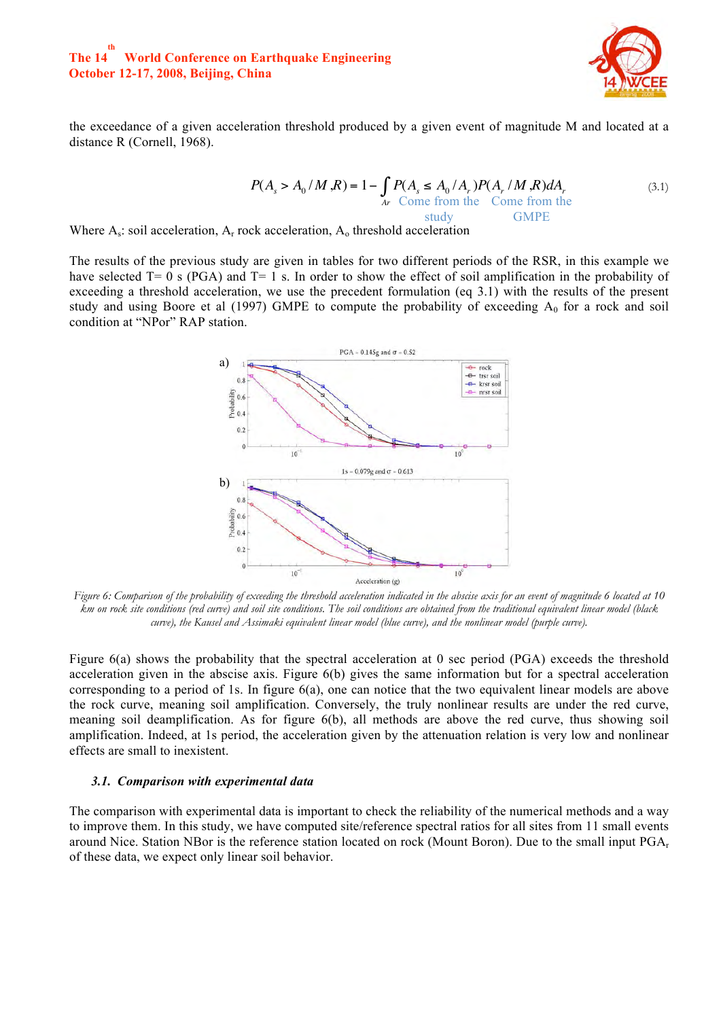

the exceedance of a given acceleration threshold produced by a given event of magnitude M and located at a distance R (Cornell, 1968).

$$
P(As > A0 / M, R) = 1 - \int_{Ar} P(As \le A0 / Ar) P(Ar / M, R) dAr
$$
  
Some from the  
study  
GMPE

Where  $A_s$ : soil acceleration,  $A_r$  rock acceleration,  $A_o$  threshold acceleration

The results of the previous study are given in tables for two different periods of the RSR, in this example we have selected T= 0 s (PGA) and T= 1 s. In order to show the effect of soil amplification in the probability of exceeding a threshold acceleration, we use the precedent formulation (eq 3.1) with the results of the present study and using Boore et al (1997) GMPE to compute the probability of exceeding  $A_0$  for a rock and soil condition at "NPor" RAP station.



*Figure 6: Comparison of the probability of exceeding the threshold acceleration indicated in the abscise axis for an event of magnitude 6 located at 10 km on rock site conditions (red curve) and soil site conditions. The soil conditions are obtained from the traditional equivalent linear model (black curve), the Kausel and Assimaki equivalent linear model (blue curve), and the nonlinear model (purple curve).*

Figure 6(a) shows the probability that the spectral acceleration at 0 sec period (PGA) exceeds the threshold acceleration given in the abscise axis. Figure 6(b) gives the same information but for a spectral acceleration corresponding to a period of 1s. In figure 6(a), one can notice that the two equivalent linear models are above the rock curve, meaning soil amplification. Conversely, the truly nonlinear results are under the red curve, meaning soil deamplification. As for figure 6(b), all methods are above the red curve, thus showing soil amplification. Indeed, at 1s period, the acceleration given by the attenuation relation is very low and nonlinear effects are small to inexistent.

#### *3.1. Comparison with experimental data*

The comparison with experimental data is important to check the reliability of the numerical methods and a way to improve them. In this study, we have computed site/reference spectral ratios for all sites from 11 small events around Nice. Station NBor is the reference station located on rock (Mount Boron). Due to the small input  $PGA_r$ of these data, we expect only linear soil behavior.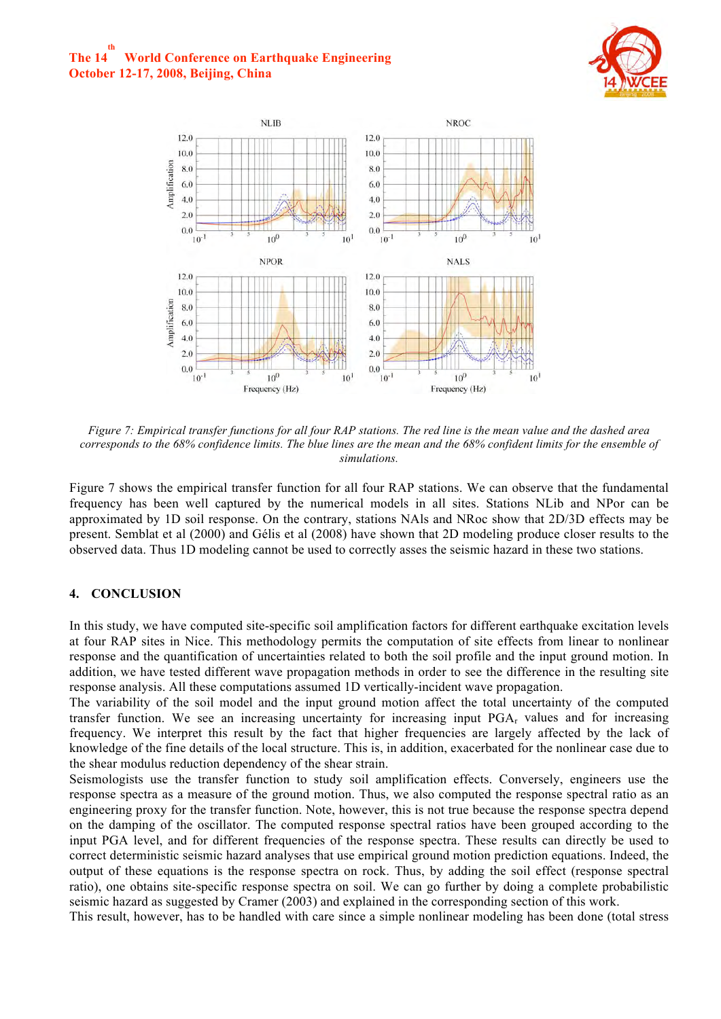



*Figure 7: Empirical transfer functions for all four RAP stations. The red line is the mean value and the dashed area corresponds to the 68% confidence limits. The blue lines are the mean and the 68% confident limits for the ensemble of simulations.* 

Figure 7 shows the empirical transfer function for all four RAP stations. We can observe that the fundamental frequency has been well captured by the numerical models in all sites. Stations NLib and NPor can be approximated by 1D soil response. On the contrary, stations NAls and NRoc show that 2D/3D effects may be present. Semblat et al (2000) and Gélis et al (2008) have shown that 2D modeling produce closer results to the observed data. Thus 1D modeling cannot be used to correctly asses the seismic hazard in these two stations.

# **4. CONCLUSION**

In this study, we have computed site-specific soil amplification factors for different earthquake excitation levels at four RAP sites in Nice. This methodology permits the computation of site effects from linear to nonlinear response and the quantification of uncertainties related to both the soil profile and the input ground motion. In addition, we have tested different wave propagation methods in order to see the difference in the resulting site response analysis. All these computations assumed 1D vertically-incident wave propagation.

The variability of the soil model and the input ground motion affect the total uncertainty of the computed transfer function. We see an increasing uncertainty for increasing input PGAr values and for increasing frequency. We interpret this result by the fact that higher frequencies are largely affected by the lack of knowledge of the fine details of the local structure. This is, in addition, exacerbated for the nonlinear case due to the shear modulus reduction dependency of the shear strain.

Seismologists use the transfer function to study soil amplification effects. Conversely, engineers use the response spectra as a measure of the ground motion. Thus, we also computed the response spectral ratio as an engineering proxy for the transfer function. Note, however, this is not true because the response spectra depend on the damping of the oscillator. The computed response spectral ratios have been grouped according to the input PGA level, and for different frequencies of the response spectra. These results can directly be used to correct deterministic seismic hazard analyses that use empirical ground motion prediction equations. Indeed, the output of these equations is the response spectra on rock. Thus, by adding the soil effect (response spectral ratio), one obtains site-specific response spectra on soil. We can go further by doing a complete probabilistic seismic hazard as suggested by Cramer (2003) and explained in the corresponding section of this work.

This result, however, has to be handled with care since a simple nonlinear modeling has been done (total stress